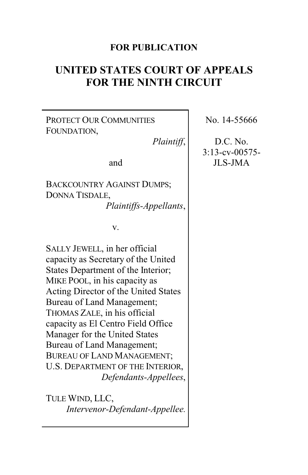#### **FOR PUBLICATION**

# **UNITED STATES COURT OF APPEALS FOR THE NINTH CIRCUIT**

PROTECT OUR COMMUNITIES FOUNDATION,

*Plaintiff*,

and

BACKCOUNTRY AGAINST DUMPS; DONNA TISDALE, *Plaintiffs-Appellants*,

v.

SALLY JEWELL, in her official capacity as Secretary of the United States Department of the Interior; MIKE POOL, in his capacity as Acting Director of the United States Bureau of Land Management; THOMAS ZALE, in his official capacity as El Centro Field Office Manager for the United States Bureau of Land Management; BUREAU OF LAND MANAGEMENT; U.S. DEPARTMENT OF THE INTERIOR, *Defendants-Appellees*,

TULE WIND, LLC, *Intervenor-Defendant-Appellee.* No. 14-55666

D.C. No. 3:13-cv-00575- JLS-JMA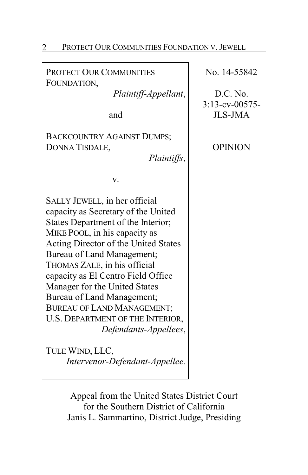| PROTECT OUR COMMUNITIES FOUNDATION V. JEWELL                                                                                                                                                                                                                                                                                                                                                                                                                   |                                                                                   |
|----------------------------------------------------------------------------------------------------------------------------------------------------------------------------------------------------------------------------------------------------------------------------------------------------------------------------------------------------------------------------------------------------------------------------------------------------------------|-----------------------------------------------------------------------------------|
| PROTECT OUR COMMUNITIES<br>FOUNDATION,<br>Plaintiff-Appellant,<br>and<br><b>BACKCOUNTRY AGAINST DUMPS;</b><br>DONNA TISDALE,<br>Plaintiffs,                                                                                                                                                                                                                                                                                                                    | No. 14-55842<br>D.C. No.<br>$3:13$ -cv-00575-<br><b>JLS-JMA</b><br><b>OPINION</b> |
| v.<br>SALLY JEWELL, in her official<br>capacity as Secretary of the United<br>States Department of the Interior;<br>MIKE POOL, in his capacity as<br>Acting Director of the United States<br>Bureau of Land Management;<br>THOMAS ZALE, in his official<br>capacity as El Centro Field Office<br>Manager for the United States<br>Bureau of Land Management;<br><b>BUREAU OF LAND MANAGEMENT;</b><br>U.S. DEPARTMENT OF THE INTERIOR,<br>Defendants-Appellees, |                                                                                   |
| TULE WIND, LLC,<br>Intervenor-Defendant-Appellee.                                                                                                                                                                                                                                                                                                                                                                                                              |                                                                                   |

Appeal from the United States District Court for the Southern District of California Janis L. Sammartino, District Judge, Presiding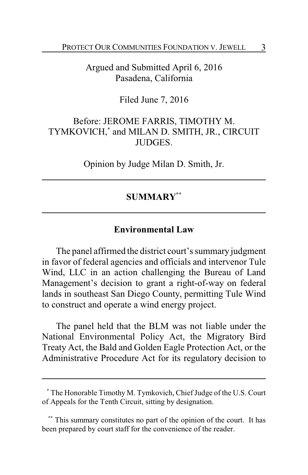Argued and Submitted April 6, 2016 Pasadena, California

Filed June 7, 2016

Before: JEROME FARRIS, TIMOTHY M. TYMKOVICH,**\*** and MILAN D. SMITH, JR., CIRCUIT JUDGES.

Opinion by Judge Milan D. Smith, Jr.

#### **SUMMARY\*\***

#### **Environmental Law**

The panel affirmed the district court's summary judgment in favor of federal agencies and officials and intervenor Tule Wind, LLC in an action challenging the Bureau of Land Management's decision to grant a right-of-way on federal lands in southeast San Diego County, permitting Tule Wind to construct and operate a wind energy project.

The panel held that the BLM was not liable under the National Environmental Policy Act, the Migratory Bird Treaty Act, the Bald and Golden Eagle Protection Act, or the Administrative Procedure Act for its regulatory decision to

**<sup>\*</sup>** The Honorable Timothy M. Tymkovich, ChiefJudge of the U.S. Court of Appeals for the Tenth Circuit, sitting by designation.

**<sup>\*\*</sup>** This summary constitutes no part of the opinion of the court. It has been prepared by court staff for the convenience of the reader.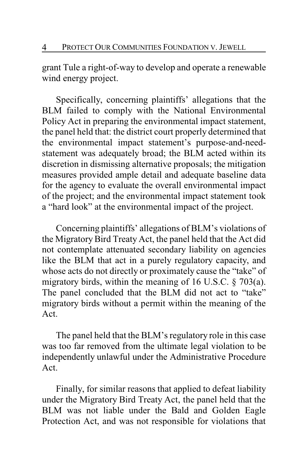grant Tule a right-of-way to develop and operate a renewable wind energy project.

Specifically, concerning plaintiffs' allegations that the BLM failed to comply with the National Environmental Policy Act in preparing the environmental impact statement, the panel held that: the district court properly determined that the environmental impact statement's purpose-and-needstatement was adequately broad; the BLM acted within its discretion in dismissing alternative proposals; the mitigation measures provided ample detail and adequate baseline data for the agency to evaluate the overall environmental impact of the project; and the environmental impact statement took a "hard look" at the environmental impact of the project.

Concerning plaintiffs' allegations of BLM's violations of the Migratory Bird Treaty Act, the panel held that the Act did not contemplate attenuated secondary liability on agencies like the BLM that act in a purely regulatory capacity, and whose acts do not directly or proximately cause the "take" of migratory birds, within the meaning of 16 U.S.C. § 703(a). The panel concluded that the BLM did not act to "take" migratory birds without a permit within the meaning of the Act.

The panel held that the BLM's regulatory role in this case was too far removed from the ultimate legal violation to be independently unlawful under the Administrative Procedure Act.

Finally, for similar reasons that applied to defeat liability under the Migratory Bird Treaty Act, the panel held that the BLM was not liable under the Bald and Golden Eagle Protection Act, and was not responsible for violations that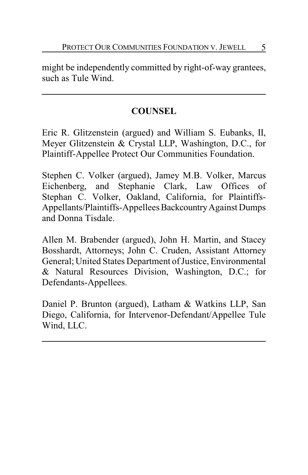might be independently committed by right-of-way grantees, such as Tule Wind.

# **COUNSEL**

Eric R. Glitzenstein (argued) and William S. Eubanks, II, Meyer Glitzenstein & Crystal LLP, Washington, D.C., for Plaintiff-Appellee Protect Our Communities Foundation.

Stephen C. Volker (argued), Jamey M.B. Volker, Marcus Eichenberg, and Stephanie Clark, Law Offices of Stephan C. Volker, Oakland, California, for Plaintiffs-Appellants/Plaintiffs-Appellees Backcountry Against Dumps and Donna Tisdale.

Allen M. Brabender (argued), John H. Martin, and Stacey Bosshardt, Attorneys; John C. Cruden, Assistant Attorney General; United States Department of Justice, Environmental & Natural Resources Division, Washington, D.C.; for Defendants-Appellees.

Daniel P. Brunton (argued), Latham & Watkins LLP, San Diego, California, for Intervenor-Defendant/Appellee Tule Wind, LLC.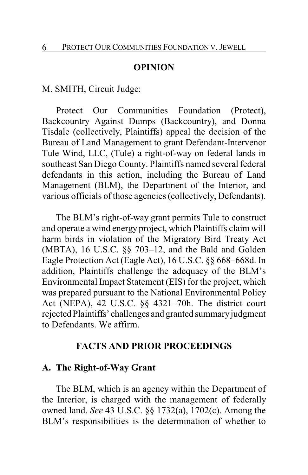#### **OPINION**

M. SMITH, Circuit Judge:

Protect Our Communities Foundation (Protect), Backcountry Against Dumps (Backcountry), and Donna Tisdale (collectively, Plaintiffs) appeal the decision of the Bureau of Land Management to grant Defendant-Intervenor Tule Wind, LLC, (Tule) a right-of-way on federal lands in southeast San Diego County. Plaintiffs named several federal defendants in this action, including the Bureau of Land Management (BLM), the Department of the Interior, and various officials of those agencies (collectively, Defendants).

The BLM's right-of-way grant permits Tule to construct and operate a wind energy project, which Plaintiffs claim will harm birds in violation of the Migratory Bird Treaty Act (MBTA), 16 U.S.C. §§ 703–12, and the Bald and Golden Eagle Protection Act (Eagle Act), 16 U.S.C. §§ 668–668d. In addition, Plaintiffs challenge the adequacy of the BLM's Environmental Impact Statement (EIS) for the project, which was prepared pursuant to the National Environmental Policy Act (NEPA), 42 U.S.C. §§ 4321–70h. The district court rejected Plaintiffs' challenges and granted summary judgment to Defendants. We affirm.

#### **FACTS AND PRIOR PROCEEDINGS**

#### **A. The Right-of-Way Grant**

The BLM, which is an agency within the Department of the Interior, is charged with the management of federally owned land. *See* 43 U.S.C. §§ 1732(a), 1702(c). Among the BLM's responsibilities is the determination of whether to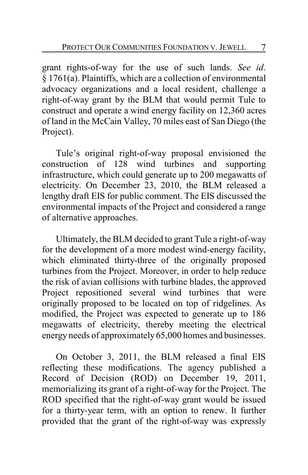grant rights-of-way for the use of such lands. *See id*. § 1761(a). Plaintiffs, which are a collection of environmental advocacy organizations and a local resident, challenge a right-of-way grant by the BLM that would permit Tule to construct and operate a wind energy facility on 12,360 acres of land in the McCain Valley, 70 miles east of San Diego (the Project).

Tule's original right-of-way proposal envisioned the construction of 128 wind turbines and supporting infrastructure, which could generate up to 200 megawatts of electricity. On December 23, 2010, the BLM released a lengthy draft EIS for public comment. The EIS discussed the environmental impacts of the Project and considered a range of alternative approaches.

Ultimately, the BLM decided to grant Tule a right-of-way for the development of a more modest wind-energy facility, which eliminated thirty-three of the originally proposed turbines from the Project. Moreover, in order to help reduce the risk of avian collisions with turbine blades, the approved Project repositioned several wind turbines that were originally proposed to be located on top of ridgelines. As modified, the Project was expected to generate up to 186 megawatts of electricity, thereby meeting the electrical energy needs of approximately 65,000 homes and businesses.

On October 3, 2011, the BLM released a final EIS reflecting these modifications. The agency published a Record of Decision (ROD) on December 19, 2011, memorializing its grant of a right-of-way for the Project. The ROD specified that the right-of-way grant would be issued for a thirty-year term, with an option to renew. It further provided that the grant of the right-of-way was expressly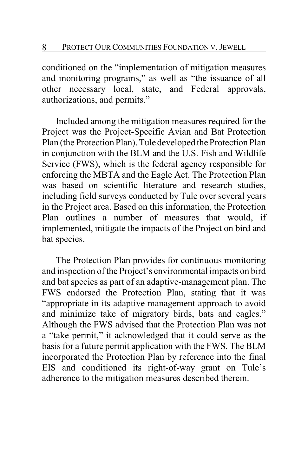conditioned on the "implementation of mitigation measures and monitoring programs," as well as "the issuance of all other necessary local, state, and Federal approvals, authorizations, and permits."

Included among the mitigation measures required for the Project was the Project-Specific Avian and Bat Protection Plan (the Protection Plan). Tule developed the Protection Plan in conjunction with the BLM and the U.S. Fish and Wildlife Service (FWS), which is the federal agency responsible for enforcing the MBTA and the Eagle Act. The Protection Plan was based on scientific literature and research studies, including field surveys conducted by Tule over several years in the Project area. Based on this information, the Protection Plan outlines a number of measures that would, if implemented, mitigate the impacts of the Project on bird and bat species.

The Protection Plan provides for continuous monitoring and inspection of the Project's environmental impacts on bird and bat species as part of an adaptive-management plan. The FWS endorsed the Protection Plan, stating that it was "appropriate in its adaptive management approach to avoid and minimize take of migratory birds, bats and eagles." Although the FWS advised that the Protection Plan was not a "take permit," it acknowledged that it could serve as the basis for a future permit application with the FWS. The BLM incorporated the Protection Plan by reference into the final EIS and conditioned its right-of-way grant on Tule's adherence to the mitigation measures described therein.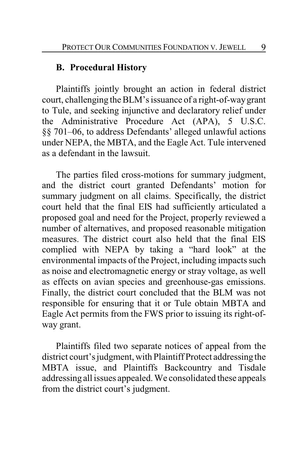#### **B. Procedural History**

Plaintiffs jointly brought an action in federal district court, challenging the BLM's issuance of a right-of-waygrant to Tule, and seeking injunctive and declaratory relief under the Administrative Procedure Act (APA), 5 U.S.C. §§ 701–06, to address Defendants' alleged unlawful actions under NEPA, the MBTA, and the Eagle Act. Tule intervened as a defendant in the lawsuit.

The parties filed cross-motions for summary judgment, and the district court granted Defendants' motion for summary judgment on all claims. Specifically, the district court held that the final EIS had sufficiently articulated a proposed goal and need for the Project, properly reviewed a number of alternatives, and proposed reasonable mitigation measures. The district court also held that the final EIS complied with NEPA by taking a "hard look" at the environmental impacts of the Project, including impacts such as noise and electromagnetic energy or stray voltage, as well as effects on avian species and greenhouse-gas emissions. Finally, the district court concluded that the BLM was not responsible for ensuring that it or Tule obtain MBTA and Eagle Act permits from the FWS prior to issuing its right-ofway grant.

Plaintiffs filed two separate notices of appeal from the district court's judgment, with Plaintiff Protect addressing the MBTA issue, and Plaintiffs Backcountry and Tisdale addressing all issues appealed. We consolidated these appeals from the district court's judgment.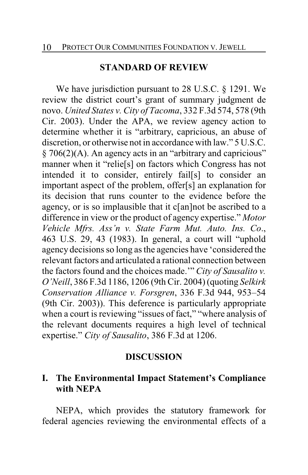#### **STANDARD OF REVIEW**

We have jurisdiction pursuant to 28 U.S.C. § 1291. We review the district court's grant of summary judgment de novo. *United States v. City of Tacoma*, 332 F.3d 574, 578 (9th Cir. 2003). Under the APA, we review agency action to determine whether it is "arbitrary, capricious, an abuse of discretion, or otherwise not in accordance with law." 5 U.S.C. § 706(2)(A). An agency acts in an "arbitrary and capricious" manner when it "relie[s] on factors which Congress has not intended it to consider, entirely fail[s] to consider an important aspect of the problem, offer[s] an explanation for its decision that runs counter to the evidence before the agency, or is so implausible that it c[an]not be ascribed to a difference in view or the product of agency expertise." *Motor Vehicle Mfrs. Ass'n v. State Farm Mut. Auto. Ins. Co*., 463 U.S. 29, 43 (1983). In general, a court will "uphold agency decisions so long as the agencies have 'considered the relevant factors and articulated a rational connection between the factors found and the choices made.'" *City of Sausalito v. O'Neill*, 386 F.3d 1186, 1206 (9th Cir. 2004) (quoting *Selkirk Conservation Alliance v. Forsgren*, 336 F.3d 944, 953–54 (9th Cir. 2003)). This deference is particularly appropriate when a court is reviewing "issues of fact," "where analysis of the relevant documents requires a high level of technical expertise." *City of Sausalito*, 386 F.3d at 1206.

#### **DISCUSSION**

#### **I. The Environmental Impact Statement's Compliance with NEPA**

NEPA, which provides the statutory framework for federal agencies reviewing the environmental effects of a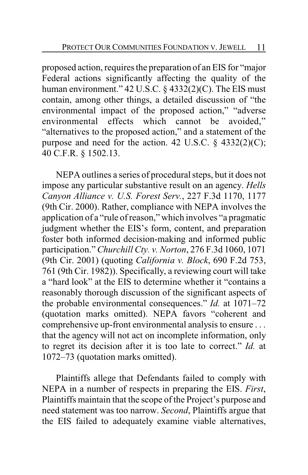proposed action, requires the preparation of an EIS for "major Federal actions significantly affecting the quality of the human environment." 42 U.S.C. § 4332(2)(C). The EIS must contain, among other things, a detailed discussion of "the environmental impact of the proposed action," "adverse environmental effects which cannot be avoided," "alternatives to the proposed action," and a statement of the purpose and need for the action. 42 U.S.C.  $\S$  4332(2)(C); 40 C.F.R. § 1502.13.

NEPA outlines a series of procedural steps, but it does not impose any particular substantive result on an agency. *Hells Canyon Alliance v. U.S. Forest Serv.*, 227 F.3d 1170, 1177 (9th Cir. 2000). Rather, compliance with NEPA involves the application of a "rule of reason," which involves "a pragmatic judgment whether the EIS's form, content, and preparation foster both informed decision-making and informed public participation." *Churchill Cty. v. Norton*, 276 F.3d 1060, 1071 (9th Cir. 2001) (quoting *California v. Block*, 690 F.2d 753, 761 (9th Cir. 1982)). Specifically, a reviewing court will take a "hard look" at the EIS to determine whether it "contains a reasonably thorough discussion of the significant aspects of the probable environmental consequences." *Id.* at 1071–72 (quotation marks omitted). NEPA favors "coherent and comprehensive up-front environmental analysis to ensure . . . that the agency will not act on incomplete information, only to regret its decision after it is too late to correct." *Id.* at 1072–73 (quotation marks omitted).

Plaintiffs allege that Defendants failed to comply with NEPA in a number of respects in preparing the EIS. *First*, Plaintiffs maintain that the scope of the Project's purpose and need statement was too narrow. *Second*, Plaintiffs argue that the EIS failed to adequately examine viable alternatives,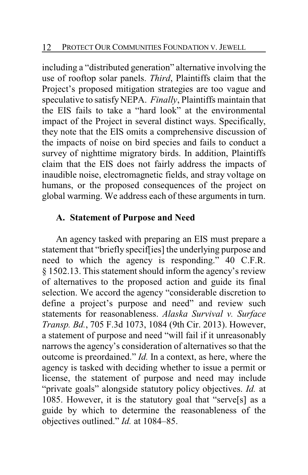including a "distributed generation" alternative involving the use of rooftop solar panels. *Third*, Plaintiffs claim that the Project's proposed mitigation strategies are too vague and speculative to satisfyNEPA. *Finally*, Plaintiffs maintain that the EIS fails to take a "hard look" at the environmental impact of the Project in several distinct ways. Specifically, they note that the EIS omits a comprehensive discussion of the impacts of noise on bird species and fails to conduct a survey of nighttime migratory birds. In addition, Plaintiffs claim that the EIS does not fairly address the impacts of inaudible noise, electromagnetic fields, and stray voltage on humans, or the proposed consequences of the project on global warming. We address each of these arguments in turn.

# **A. Statement of Purpose and Need**

An agency tasked with preparing an EIS must prepare a statement that "briefly specif[ies] the underlying purpose and need to which the agency is responding." 40 C.F.R. § 1502.13. This statement should inform the agency's review of alternatives to the proposed action and guide its final selection. We accord the agency "considerable discretion to define a project's purpose and need" and review such statements for reasonableness. *Alaska Survival v. Surface Transp. Bd.*, 705 F.3d 1073, 1084 (9th Cir. 2013). However, a statement of purpose and need "will fail if it unreasonably narrows the agency's consideration of alternatives so that the outcome is preordained." *Id.* In a context, as here, where the agency is tasked with deciding whether to issue a permit or license, the statement of purpose and need may include "private goals" alongside statutory policy objectives. *Id.* at 1085. However, it is the statutory goal that "serve[s] as a guide by which to determine the reasonableness of the objectives outlined." *Id.* at 1084–85.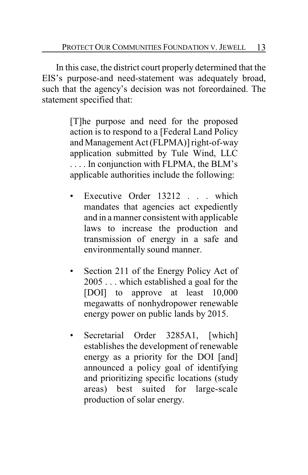In this case, the district court properly determined that the EIS's purpose-and need-statement was adequately broad, such that the agency's decision was not foreordained. The statement specified that:

> [T]he purpose and need for the proposed action is to respond to a [Federal Land Policy and Management Act (FLPMA)] right-of-way application submitted by Tule Wind, LLC . . . . In conjunction with FLPMA, the BLM's applicable authorities include the following:

- Executive Order 13212 . . . which mandates that agencies act expediently and in a manner consistent with applicable laws to increase the production and transmission of energy in a safe and environmentally sound manner.
- Section 211 of the Energy Policy Act of 2005 . . . which established a goal for the [DOI] to approve at least 10,000 megawatts of nonhydropower renewable energy power on public lands by 2015.
- Secretarial Order 3285A1, [which] establishes the development of renewable energy as a priority for the DOI [and] announced a policy goal of identifying and prioritizing specific locations (study areas) best suited for large-scale production of solar energy.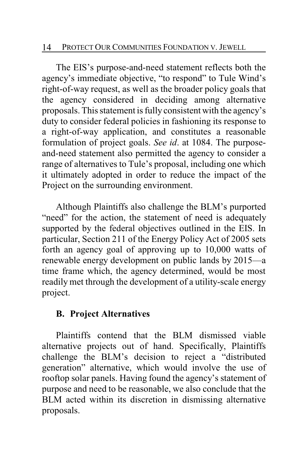The EIS's purpose-and-need statement reflects both the agency's immediate objective, "to respond" to Tule Wind's right-of-way request, as well as the broader policy goals that the agency considered in deciding among alternative proposals. This statement is fully consistent with the agency's duty to consider federal policies in fashioning its response to a right-of-way application, and constitutes a reasonable formulation of project goals. *See id*. at 1084. The purposeand-need statement also permitted the agency to consider a range of alternatives to Tule's proposal, including one which it ultimately adopted in order to reduce the impact of the Project on the surrounding environment.

Although Plaintiffs also challenge the BLM's purported "need" for the action, the statement of need is adequately supported by the federal objectives outlined in the EIS. In particular, Section 211 of the Energy Policy Act of 2005 sets forth an agency goal of approving up to 10,000 watts of renewable energy development on public lands by 2015—a time frame which, the agency determined, would be most readily met through the development of a utility-scale energy project.

# **B. Project Alternatives**

Plaintiffs contend that the BLM dismissed viable alternative projects out of hand. Specifically, Plaintiffs challenge the BLM's decision to reject a "distributed generation" alternative, which would involve the use of rooftop solar panels. Having found the agency's statement of purpose and need to be reasonable, we also conclude that the BLM acted within its discretion in dismissing alternative proposals.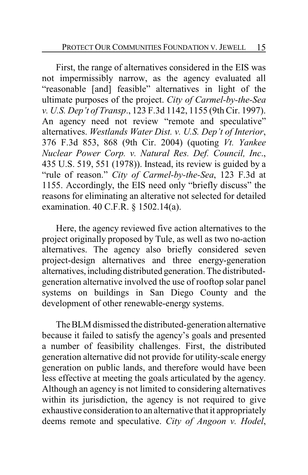First, the range of alternatives considered in the EIS was not impermissibly narrow, as the agency evaluated all "reasonable [and] feasible" alternatives in light of the ultimate purposes of the project. *City of Carmel-by-the-Sea v. U.S. Dep't of Transp*., 123 F.3d 1142, 1155 (9th Cir. 1997). An agency need not review "remote and speculative" alternatives. *Westlands Water Dist. v. U.S. Dep't of Interior*, 376 F.3d 853, 868 (9th Cir. 2004) (quoting *Vt. Yankee Nuclear Power Corp. v. Natural Res. Def. Council, Inc*., 435 U.S. 519, 551 (1978)). Instead, its review is guided by a "rule of reason." *City of Carmel-by-the-Sea*, 123 F.3d at 1155. Accordingly, the EIS need only "briefly discuss" the reasons for eliminating an alterative not selected for detailed examination. 40 C.F.R. § 1502.14(a).

Here, the agency reviewed five action alternatives to the project originally proposed by Tule, as well as two no-action alternatives. The agency also briefly considered seven project-design alternatives and three energy-generation alternatives, including distributed generation. The distributedgeneration alternative involved the use of rooftop solar panel systems on buildings in San Diego County and the development of other renewable-energy systems.

The BLM dismissed the distributed-generation alternative because it failed to satisfy the agency's goals and presented a number of feasibility challenges. First, the distributed generation alternative did not provide for utility-scale energy generation on public lands, and therefore would have been less effective at meeting the goals articulated by the agency. Although an agency is not limited to considering alternatives within its jurisdiction, the agency is not required to give exhaustive consideration to an alternative that it appropriately deems remote and speculative. *City of Angoon v. Hodel*,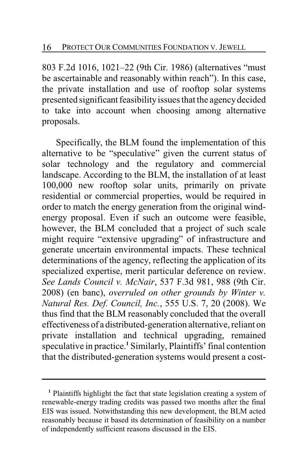803 F.2d 1016, 1021–22 (9th Cir. 1986) (alternatives "must be ascertainable and reasonably within reach"). In this case, the private installation and use of rooftop solar systems presented significant feasibility issues that the agency decided to take into account when choosing among alternative proposals.

Specifically, the BLM found the implementation of this alternative to be "speculative" given the current status of solar technology and the regulatory and commercial landscape. According to the BLM, the installation of at least 100,000 new rooftop solar units, primarily on private residential or commercial properties, would be required in order to match the energy generation from the original windenergy proposal. Even if such an outcome were feasible, however, the BLM concluded that a project of such scale might require "extensive upgrading" of infrastructure and generate uncertain environmental impacts. These technical determinations of the agency, reflecting the application of its specialized expertise, merit particular deference on review. *See Lands Council v. McNair*, 537 F.3d 981, 988 (9th Cir. 2008) (en banc), *overruled on other grounds by Winter v. Natural Res. Def. Council, Inc.*, 555 U.S. 7, 20 (2008). We thus find that the BLM reasonably concluded that the overall effectiveness of a distributed-generation alternative, reliant on private installation and technical upgrading, remained speculative in practice.<sup>1</sup> Similarly, Plaintiffs' final contention that the distributed-generation systems would present a cost-

**<sup>1</sup>** Plaintiffs highlight the fact that state legislation creating a system of renewable-energy trading credits was passed two months after the final EIS was issued. Notwithstanding this new development, the BLM acted reasonably because it based its determination of feasibility on a number of independently sufficient reasons discussed in the EIS.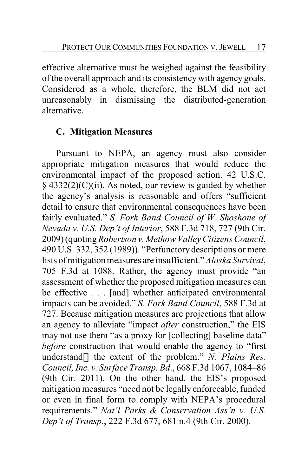effective alternative must be weighed against the feasibility of the overall approach and its consistencywith agency goals. Considered as a whole, therefore, the BLM did not act unreasonably in dismissing the distributed-generation alternative.

# **C. Mitigation Measures**

Pursuant to NEPA, an agency must also consider appropriate mitigation measures that would reduce the environmental impact of the proposed action. 42 U.S.C.  $§$  4332(2)(C)(ii). As noted, our review is guided by whether the agency's analysis is reasonable and offers "sufficient detail to ensure that environmental consequences have been fairly evaluated." *S. Fork Band Council of W. Shoshone of Nevada v. U.S. Dep't of Interior*, 588 F.3d 718, 727 (9th Cir. 2009) (quoting*Robertson v. Methow Valley Citizens Council*, 490 U.S. 332, 352 (1989)). "Perfunctory descriptions or mere lists of mitigation measures are insufficient." *Alaska Survival*, 705 F.3d at 1088. Rather, the agency must provide "an assessment of whether the proposed mitigation measures can be effective . . . [and] whether anticipated environmental impacts can be avoided." *S. Fork Band Council*, 588 F.3d at 727. Because mitigation measures are projections that allow an agency to alleviate "impact *after* construction," the EIS may not use them "as a proxy for [collecting] baseline data" *before* construction that would enable the agency to "first understand[] the extent of the problem." *N. Plains Res. Council, Inc. v. Surface Transp. Bd*., 668 F.3d 1067, 1084–86 (9th Cir. 2011). On the other hand, the EIS's proposed mitigation measures "need not be legally enforceable, funded or even in final form to comply with NEPA's procedural requirements." *Nat'l Parks & Conservation Ass'n v. U.S. Dep't of Transp*., 222 F.3d 677, 681 n.4 (9th Cir. 2000).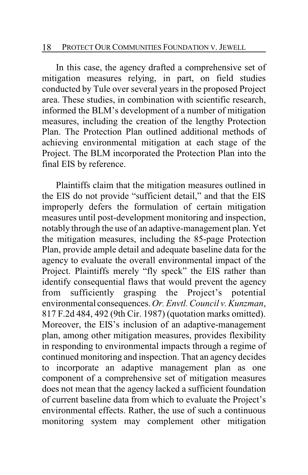#### 18 PROTECT OUR COMMUNITIES FOUNDATION V. JEWELL

In this case, the agency drafted a comprehensive set of mitigation measures relying, in part, on field studies conducted by Tule over several years in the proposed Project area. These studies, in combination with scientific research, informed the BLM's development of a number of mitigation measures, including the creation of the lengthy Protection Plan. The Protection Plan outlined additional methods of achieving environmental mitigation at each stage of the Project. The BLM incorporated the Protection Plan into the final EIS by reference.

Plaintiffs claim that the mitigation measures outlined in the EIS do not provide "sufficient detail," and that the EIS improperly defers the formulation of certain mitigation measures until post-development monitoring and inspection, notably through the use of an adaptive-management plan. Yet the mitigation measures, including the 85-page Protection Plan, provide ample detail and adequate baseline data for the agency to evaluate the overall environmental impact of the Project. Plaintiffs merely "fly speck" the EIS rather than identify consequential flaws that would prevent the agency from sufficiently grasping the Project's potential environmental consequences.*Or. Envtl. Council v. Kunzman*, 817 F.2d 484, 492 (9th Cir. 1987) (quotation marks omitted). Moreover, the EIS's inclusion of an adaptive-management plan, among other mitigation measures, provides flexibility in responding to environmental impacts through a regime of continued monitoring and inspection. That an agency decides to incorporate an adaptive management plan as one component of a comprehensive set of mitigation measures does not mean that the agency lacked a sufficient foundation of current baseline data from which to evaluate the Project's environmental effects. Rather, the use of such a continuous monitoring system may complement other mitigation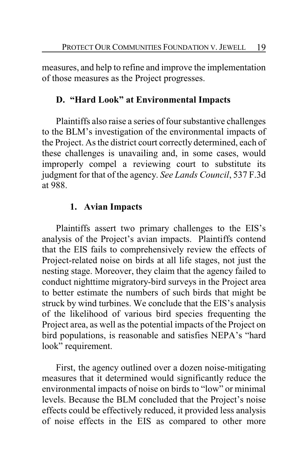measures, and help to refine and improve the implementation of those measures as the Project progresses.

# **D. "Hard Look" at Environmental Impacts**

Plaintiffs also raise a series of four substantive challenges to the BLM's investigation of the environmental impacts of the Project. As the district court correctly determined, each of these challenges is unavailing and, in some cases, would improperly compel a reviewing court to substitute its judgment for that of the agency. *See Lands Council*, 537 F.3d at 988.

# **1. Avian Impacts**

Plaintiffs assert two primary challenges to the EIS's analysis of the Project's avian impacts. Plaintiffs contend that the EIS fails to comprehensively review the effects of Project-related noise on birds at all life stages, not just the nesting stage. Moreover, they claim that the agency failed to conduct nighttime migratory-bird surveys in the Project area to better estimate the numbers of such birds that might be struck by wind turbines. We conclude that the EIS's analysis of the likelihood of various bird species frequenting the Project area, as well as the potential impacts of the Project on bird populations, is reasonable and satisfies NEPA's "hard look" requirement.

First, the agency outlined over a dozen noise-mitigating measures that it determined would significantly reduce the environmental impacts of noise on birds to "low" or minimal levels. Because the BLM concluded that the Project's noise effects could be effectively reduced, it provided less analysis of noise effects in the EIS as compared to other more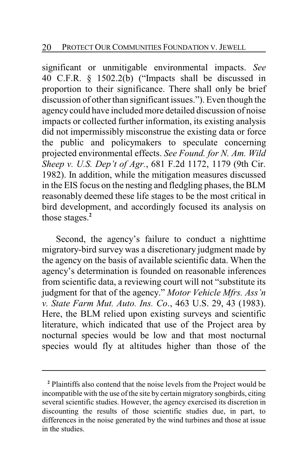significant or unmitigable environmental impacts. *See* 40 C.F.R. § 1502.2(b) ("Impacts shall be discussed in proportion to their significance. There shall only be brief discussion of other than significant issues."). Even though the agency could have included more detailed discussion of noise impacts or collected further information, its existing analysis did not impermissibly misconstrue the existing data or force the public and policymakers to speculate concerning projected environmental effects. *See Found. for N. Am. Wild Sheep v. U.S. Dep't of Agr.*, 681 F.2d 1172, 1179 (9th Cir. 1982). In addition, while the mitigation measures discussed in the EIS focus on the nesting and fledgling phases, the BLM reasonably deemed these life stages to be the most critical in bird development, and accordingly focused its analysis on those stages.**<sup>2</sup>**

Second, the agency's failure to conduct a nighttime migratory-bird survey was a discretionary judgment made by the agency on the basis of available scientific data. When the agency's determination is founded on reasonable inferences from scientific data, a reviewing court will not "substitute its judgment for that of the agency." *Motor Vehicle Mfrs. Ass'n v. State Farm Mut. Auto. Ins. Co*., 463 U.S. 29, 43 (1983). Here, the BLM relied upon existing surveys and scientific literature, which indicated that use of the Project area by nocturnal species would be low and that most nocturnal species would fly at altitudes higher than those of the

**<sup>2</sup>** Plaintiffs also contend that the noise levels from the Project would be incompatible with the use of the site by certain migratory songbirds, citing several scientific studies. However, the agency exercised its discretion in discounting the results of those scientific studies due, in part, to differences in the noise generated by the wind turbines and those at issue in the studies.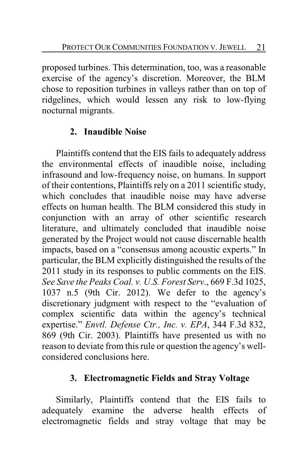proposed turbines. This determination, too, was a reasonable exercise of the agency's discretion. Moreover, the BLM chose to reposition turbines in valleys rather than on top of ridgelines, which would lessen any risk to low-flying nocturnal migrants.

# **2. Inaudible Noise**

Plaintiffs contend that the EIS fails to adequately address the environmental effects of inaudible noise, including infrasound and low-frequency noise, on humans. In support of their contentions, Plaintiffs rely on a 2011 scientific study, which concludes that inaudible noise may have adverse effects on human health. The BLM considered this study in conjunction with an array of other scientific research literature, and ultimately concluded that inaudible noise generated by the Project would not cause discernable health impacts, based on a "consensus among acoustic experts." In particular, the BLM explicitly distinguished the results of the 2011 study in its responses to public comments on the EIS. *See Save the Peaks Coal. v. U.S. Forest Serv*., 669 F.3d 1025, 1037 n.5 (9th Cir. 2012). We defer to the agency's discretionary judgment with respect to the "evaluation of complex scientific data within the agency's technical expertise." *Envtl. Defense Ctr., Inc. v. EPA*, 344 F.3d 832, 869 (9th Cir. 2003). Plaintiffs have presented us with no reason to deviate from this rule or question the agency's wellconsidered conclusions here.

# **3. Electromagnetic Fields and Stray Voltage**

Similarly, Plaintiffs contend that the EIS fails to adequately examine the adverse health effects of electromagnetic fields and stray voltage that may be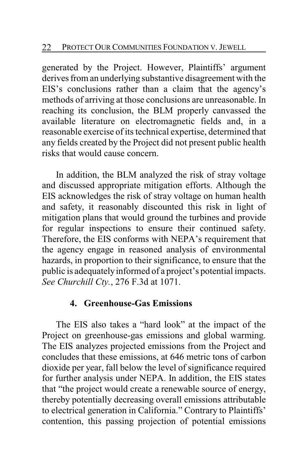generated by the Project. However, Plaintiffs' argument derives from an underlying substantive disagreement with the EIS's conclusions rather than a claim that the agency's methods of arriving at those conclusions are unreasonable. In reaching its conclusion, the BLM properly canvassed the available literature on electromagnetic fields and, in a reasonable exercise of its technical expertise, determined that any fields created by the Project did not present public health risks that would cause concern.

In addition, the BLM analyzed the risk of stray voltage and discussed appropriate mitigation efforts. Although the EIS acknowledges the risk of stray voltage on human health and safety, it reasonably discounted this risk in light of mitigation plans that would ground the turbines and provide for regular inspections to ensure their continued safety. Therefore, the EIS conforms with NEPA's requirement that the agency engage in reasoned analysis of environmental hazards, in proportion to their significance, to ensure that the public is adequately informed of a project's potential impacts. *See Churchill Cty.*, 276 F.3d at 1071.

### **4. Greenhouse-Gas Emissions**

The EIS also takes a "hard look" at the impact of the Project on greenhouse-gas emissions and global warming. The EIS analyzes projected emissions from the Project and concludes that these emissions, at 646 metric tons of carbon dioxide per year, fall below the level of significance required for further analysis under NEPA. In addition, the EIS states that "the project would create a renewable source of energy, thereby potentially decreasing overall emissions attributable to electrical generation in California." Contrary to Plaintiffs' contention, this passing projection of potential emissions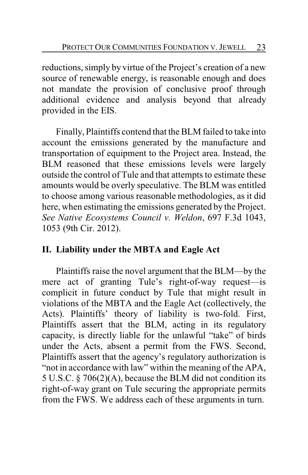reductions, simply by virtue of the Project's creation of a new source of renewable energy, is reasonable enough and does not mandate the provision of conclusive proof through additional evidence and analysis beyond that already provided in the EIS.

Finally, Plaintiffs contend that the BLM failed to take into account the emissions generated by the manufacture and transportation of equipment to the Project area. Instead, the BLM reasoned that these emissions levels were largely outside the control of Tule and that attempts to estimate these amounts would be overly speculative. The BLM was entitled to choose among various reasonable methodologies, as it did here, when estimating the emissions generated by the Project. *See Native Ecosystems Council v. Weldon*, 697 F.3d 1043, 1053 (9th Cir. 2012).

# **II. Liability under the MBTA and Eagle Act**

Plaintiffs raise the novel argument that the BLM—by the mere act of granting Tule's right-of-way request—is complicit in future conduct by Tule that might result in violations of the MBTA and the Eagle Act (collectively, the Acts). Plaintiffs' theory of liability is two-fold. First, Plaintiffs assert that the BLM, acting in its regulatory capacity, is directly liable for the unlawful "take" of birds under the Acts, absent a permit from the FWS. Second, Plaintiffs assert that the agency's regulatory authorization is "not in accordance with law" within the meaning of the APA, 5 U.S.C. § 706(2)(A), because the BLM did not condition its right-of-way grant on Tule securing the appropriate permits from the FWS. We address each of these arguments in turn.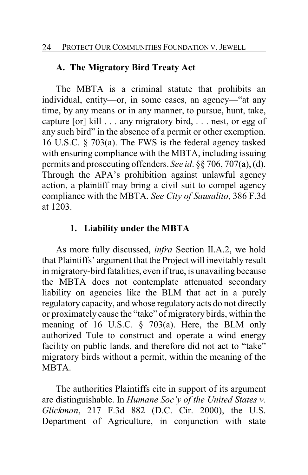### **A. The Migratory Bird Treaty Act**

The MBTA is a criminal statute that prohibits an individual, entity—or, in some cases, an agency—"at any time, by any means or in any manner, to pursue, hunt, take, capture [or] kill . . . any migratory bird, . . . nest, or egg of any such bird" in the absence of a permit or other exemption. 16 U.S.C. § 703(a). The FWS is the federal agency tasked with ensuring compliance with the MBTA, including issuing permits and prosecuting offenders. *See id*. §§ 706, 707(a), (d). Through the APA's prohibition against unlawful agency action, a plaintiff may bring a civil suit to compel agency compliance with the MBTA. *See City of Sausalito*, 386 F.3d at 1203.

### **1. Liability under the MBTA**

As more fully discussed, *infra* Section II.A.2, we hold that Plaintiffs' argument that the Project will inevitably result in migratory-bird fatalities, even if true, is unavailing because the MBTA does not contemplate attenuated secondary liability on agencies like the BLM that act in a purely regulatory capacity, and whose regulatory acts do not directly or proximately cause the "take" of migratory birds, within the meaning of 16 U.S.C. § 703(a). Here, the BLM only authorized Tule to construct and operate a wind energy facility on public lands, and therefore did not act to "take" migratory birds without a permit, within the meaning of the **MBTA** 

The authorities Plaintiffs cite in support of its argument are distinguishable. In *Humane Soc'y of the United States v. Glickman*, 217 F.3d 882 (D.C. Cir. 2000), the U.S. Department of Agriculture, in conjunction with state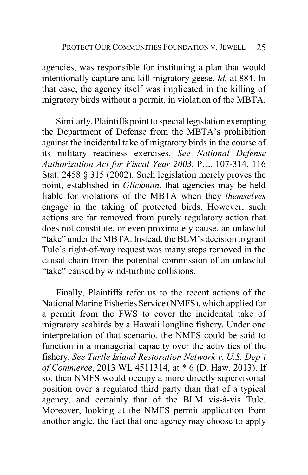agencies, was responsible for instituting a plan that would intentionally capture and kill migratory geese. *Id.* at 884. In that case, the agency itself was implicated in the killing of migratory birds without a permit, in violation of the MBTA.

Similarly, Plaintiffs point to special legislation exempting the Department of Defense from the MBTA's prohibition against the incidental take of migratory birds in the course of its military readiness exercises. *See National Defense Authorization Act for Fiscal Year 2003*, P.L. 107-314, 116 Stat. 2458 § 315 (2002). Such legislation merely proves the point, established in *Glickman*, that agencies may be held liable for violations of the MBTA when they *themselves* engage in the taking of protected birds. However, such actions are far removed from purely regulatory action that does not constitute, or even proximately cause, an unlawful "take" under the MBTA. Instead, the BLM's decision to grant Tule's right-of-way request was many steps removed in the causal chain from the potential commission of an unlawful "take" caused by wind-turbine collisions.

Finally, Plaintiffs refer us to the recent actions of the National Marine Fisheries Service (NMFS), which applied for a permit from the FWS to cover the incidental take of migratory seabirds by a Hawaii longline fishery. Under one interpretation of that scenario, the NMFS could be said to function in a managerial capacity over the activities of the fishery. *See Turtle Island Restoration Network v. U.S. Dep't of Commerce*, 2013 WL 4511314, at \* 6 (D. Haw. 2013). If so, then NMFS would occupy a more directly supervisorial position over a regulated third party than that of a typical agency, and certainly that of the BLM vis-à-vis Tule. Moreover, looking at the NMFS permit application from another angle, the fact that one agency may choose to apply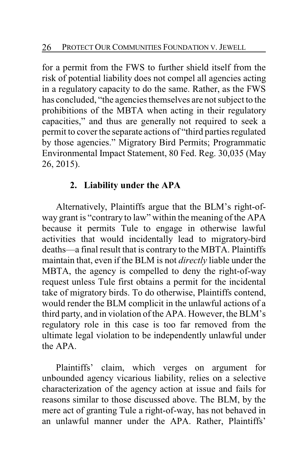for a permit from the FWS to further shield itself from the risk of potential liability does not compel all agencies acting in a regulatory capacity to do the same. Rather, as the FWS has concluded, "the agencies themselves are not subject to the prohibitions of the MBTA when acting in their regulatory capacities," and thus are generally not required to seek a permit to cover the separate actions of "third parties regulated by those agencies." Migratory Bird Permits; Programmatic Environmental Impact Statement, 80 Fed. Reg. 30,035 (May 26, 2015).

# **2. Liability under the APA**

Alternatively, Plaintiffs argue that the BLM's right-ofway grant is "contrary to law" within the meaning of the APA because it permits Tule to engage in otherwise lawful activities that would incidentally lead to migratory-bird deaths—a final result that is contrary to the MBTA. Plaintiffs maintain that, even if the BLM is not *directly* liable under the MBTA, the agency is compelled to deny the right-of-way request unless Tule first obtains a permit for the incidental take of migratory birds. To do otherwise, Plaintiffs contend, would render the BLM complicit in the unlawful actions of a third party, and in violation of the APA. However, the BLM's regulatory role in this case is too far removed from the ultimate legal violation to be independently unlawful under the APA.

Plaintiffs' claim, which verges on argument for unbounded agency vicarious liability, relies on a selective characterization of the agency action at issue and fails for reasons similar to those discussed above. The BLM, by the mere act of granting Tule a right-of-way, has not behaved in an unlawful manner under the APA. Rather, Plaintiffs'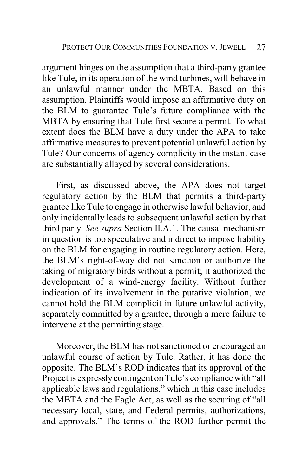argument hinges on the assumption that a third-party grantee like Tule, in its operation of the wind turbines, will behave in an unlawful manner under the MBTA. Based on this assumption, Plaintiffs would impose an affirmative duty on the BLM to guarantee Tule's future compliance with the MBTA by ensuring that Tule first secure a permit. To what extent does the BLM have a duty under the APA to take affirmative measures to prevent potential unlawful action by Tule? Our concerns of agency complicity in the instant case are substantially allayed by several considerations.

First, as discussed above, the APA does not target regulatory action by the BLM that permits a third-party grantee like Tule to engage in otherwise lawful behavior, and only incidentally leads to subsequent unlawful action by that third party. *See supra* Section II.A.1. The causal mechanism in question is too speculative and indirect to impose liability on the BLM for engaging in routine regulatory action. Here, the BLM's right-of-way did not sanction or authorize the taking of migratory birds without a permit; it authorized the development of a wind-energy facility. Without further indication of its involvement in the putative violation, we cannot hold the BLM complicit in future unlawful activity, separately committed by a grantee, through a mere failure to intervene at the permitting stage.

Moreover, the BLM has not sanctioned or encouraged an unlawful course of action by Tule. Rather, it has done the opposite. The BLM's ROD indicates that its approval of the Project is expresslycontingent on Tule's compliance with "all applicable laws and regulations," which in this case includes the MBTA and the Eagle Act, as well as the securing of "all necessary local, state, and Federal permits, authorizations, and approvals." The terms of the ROD further permit the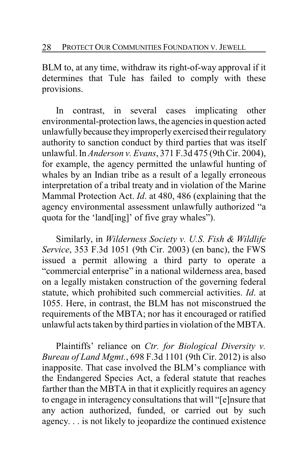BLM to, at any time, withdraw its right-of-way approval if it determines that Tule has failed to comply with these provisions.

In contrast, in several cases implicating other environmental-protection laws, the agencies in question acted unlawfully because they improperly exercised their regulatory authority to sanction conduct by third parties that was itself unlawful. In *Anderson v. Evans*, 371 F.3d 475 (9th Cir. 2004), for example, the agency permitted the unlawful hunting of whales by an Indian tribe as a result of a legally erroneous interpretation of a tribal treaty and in violation of the Marine Mammal Protection Act. *Id*. at 480, 486 (explaining that the agency environmental assessment unlawfully authorized "a quota for the 'land[ing]' of five gray whales").

Similarly, in *Wilderness Society v. U.S. Fish & Wildlife Service*, 353 F.3d 1051 (9th Cir. 2003) (en banc), the FWS issued a permit allowing a third party to operate a "commercial enterprise" in a national wilderness area, based on a legally mistaken construction of the governing federal statute, which prohibited such commercial activities. *Id*. at 1055. Here, in contrast, the BLM has not misconstrued the requirements of the MBTA; nor has it encouraged or ratified unlawful acts taken by third parties in violation of the MBTA.

Plaintiffs' reliance on *Ctr. for Biological Diversity v. Bureau of Land Mgmt.*, 698 F.3d 1101 (9th Cir. 2012) is also inapposite. That case involved the BLM's compliance with the Endangered Species Act, a federal statute that reaches farther than the MBTA in that it explicitly requires an agency to engage in interagency consultations that will "[e]nsure that any action authorized, funded, or carried out by such agency. . . is not likely to jeopardize the continued existence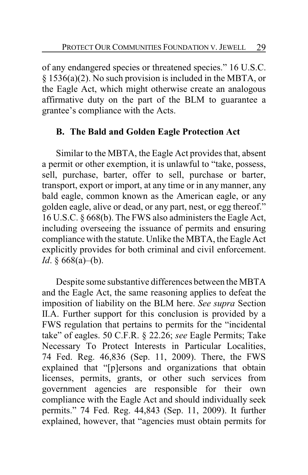of any endangered species or threatened species." 16 U.S.C. § 1536(a)(2). No such provision is included in the MBTA, or the Eagle Act, which might otherwise create an analogous affirmative duty on the part of the BLM to guarantee a grantee's compliance with the Acts.

# **B. The Bald and Golden Eagle Protection Act**

Similar to the MBTA, the Eagle Act provides that, absent a permit or other exemption, it is unlawful to "take, possess, sell, purchase, barter, offer to sell, purchase or barter, transport, export or import, at any time or in any manner, any bald eagle, common known as the American eagle, or any golden eagle, alive or dead, or any part, nest, or egg thereof." 16 U.S.C. § 668(b). The FWS also administers the Eagle Act, including overseeing the issuance of permits and ensuring compliance with the statute. Unlike the MBTA, the Eagle Act explicitly provides for both criminal and civil enforcement. *Id*. § 668(a)–(b).

Despite some substantive differences between the MBTA and the Eagle Act, the same reasoning applies to defeat the imposition of liability on the BLM here. *See supra* Section II.A. Further support for this conclusion is provided by a FWS regulation that pertains to permits for the "incidental take" of eagles. 50 C.F.R. § 22.26; *see* Eagle Permits; Take Necessary To Protect Interests in Particular Localities, 74 Fed. Reg. 46,836 (Sep. 11, 2009). There, the FWS explained that "[p]ersons and organizations that obtain licenses, permits, grants, or other such services from government agencies are responsible for their own compliance with the Eagle Act and should individually seek permits." 74 Fed. Reg. 44,843 (Sep. 11, 2009). It further explained, however, that "agencies must obtain permits for